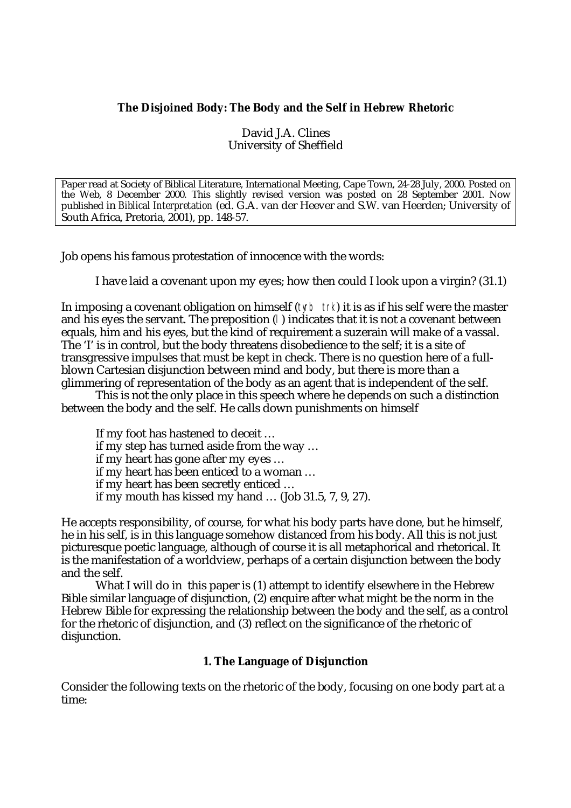# **The Disjoined Body: The Body and the Self in Hebrew Rhetoric**

David J.A. Clines University of Sheffield

Paper read at Society of Biblical Literature, International Meeting, Cape Town, 24-28 July, 2000. Posted on the Web, 8 December 2000. This slightly revised version was posted on 28 September 2001. Now published in *Biblical Interpretation* (ed. G.A. van der Heever and S.W. van Heerden; University of South Africa, Pretoria, 2001), pp. 148-57.

Job opens his famous protestation of innocence with the words:

I have laid a covenant upon my eyes; how then could I look upon a virgin? (31.1)

In imposing a covenant obligation on himself (tyrb trk) it is as if his self were the master and his eyes the servant. The preposition (l) indicates that it is not a covenant between equals, him and his eyes, but the kind of requirement a suzerain will make of a vassal. The 'I' is in control, but the body threatens disobedience to the self; it is a site of transgressive impulses that must be kept in check. There is no question here of a fullblown Cartesian disjunction between mind and body, but there is more than a glimmering of representation of the body as an agent that is independent of the self.

This is not the only place in this speech where he depends on such a distinction between the body and the self. He calls down punishments on himself

If my foot has hastened to deceit … if my step has turned aside from the way … if my heart has gone after my eyes … if my heart has been enticed to a woman … if my heart has been secretly enticed … if my mouth has kissed my hand … (Job 31.5, 7, 9, 27).

He accepts responsibility, of course, for what his body parts have done, but he himself, he in his self, is in this language somehow distanced from his body. All this is not just picturesque poetic language, although of course it is all metaphorical and rhetorical. It is the manifestation of a worldview, perhaps of a certain disjunction between the body and the self.

What I will do in this paper is (1) attempt to identify elsewhere in the Hebrew Bible similar language of disjunction, (2) enquire after what might be the norm in the Hebrew Bible for expressing the relationship between the body and the self, as a control for the rhetoric of disjunction, and (3) reflect on the significance of the rhetoric of disjunction.

# **1. The Language of Disjunction**

Consider the following texts on the rhetoric of the body, focusing on one body part at a time: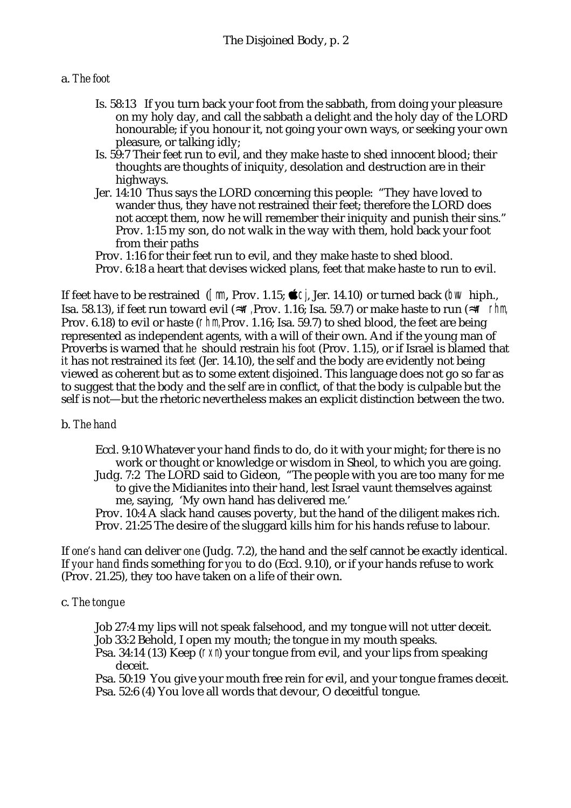### a. *The foot*

- Is. 58:13 If you turn back your foot from the sabbath, from doing your pleasure on my holy day, and call the sabbath a delight and the holy day of the LORD honourable; if you honour it, not going your own ways, or seeking your own pleasure, or talking idly;
- Is. 59:7 Their feet run to evil, and they make haste to shed innocent blood; their thoughts are thoughts of iniquity, desolation and destruction are in their highways.
- Jer. 14:10 Thus says the LORD concerning this people: "They have loved to wander thus, they have not restrained their feet; therefore the LORD does not accept them, now he will remember their iniquity and punish their sins." Prov. 1:15 my son, do not walk in the way with them, hold back your foot from their paths

Prov. 1:16 for their feet run to evil, and they make haste to shed blood. Prov. 6:18 a heart that devises wicked plans, feet that make haste to run to evil.

If feet have to be restrained ( $\lceil \mathbb{m} \rceil$ , Prov. 1.15;  $\bigcirc \rceil$ , Jer. 14.10) or turned back ( $\bigcirc \rceil$  hiph., Isa. 58.13), if feet run toward evil ( $\mathbb{I}$  Frov. 1.16; Isa. 59.7) or make haste to run ( $\mathbb{I}$  rhm, Prov. 6.18) to evil or haste (rhm, Prov. 1.16; Isa. 59.7) to shed blood, the feet are being represented as independent agents, with a will of their own. And if the young man of Proverbs is warned that *he* should restrain *his foot* (Prov. 1.15), or if Israel is blamed that *it* has not restrained *its feet* (Jer. 14.10), the self and the body are evidently not being viewed as coherent but as to some extent disjoined. This language does not go so far as to suggest that the body and the self are in conflict, of that the body is culpable but the self is not—but the rhetoric nevertheless makes an explicit distinction between the two.

# b. *The hand*

Eccl. 9:10 Whatever your hand finds to do, do it with your might; for there is no work or thought or knowledge or wisdom in Sheol, to which you are going. Judg. 7:2 The LORD said to Gideon, "The people with you are too many for me to give the Midianites into their hand, lest Israel vaunt themselves against me, saying, 'My own hand has delivered me.'

Prov. 10:4 A slack hand causes poverty, but the hand of the diligent makes rich. Prov. 21:25 The desire of the sluggard kills him for his hands refuse to labour.

If *one's hand* can deliver *one* (Judg. 7.2), the hand and the self cannot be exactly identical. If *your hand* finds something for *you* to do (Eccl. 9.10), or if your hands refuse to work (Prov. 21.25), they too have taken on a life of their own.

# c. *The tongue*

Job 27:4 my lips will not speak falsehood, and my tongue will not utter deceit. Job 33:2 Behold, I open my mouth; the tongue in my mouth speaks.

Psa. 34:14 (13) Keep ( $\Gamma$ XII) your tongue from evil, and your lips from speaking deceit.

Psa. 50:19 You give your mouth free rein for evil, and your tongue frames deceit. Psa. 52:6 (4) You love all words that devour, O deceitful tongue.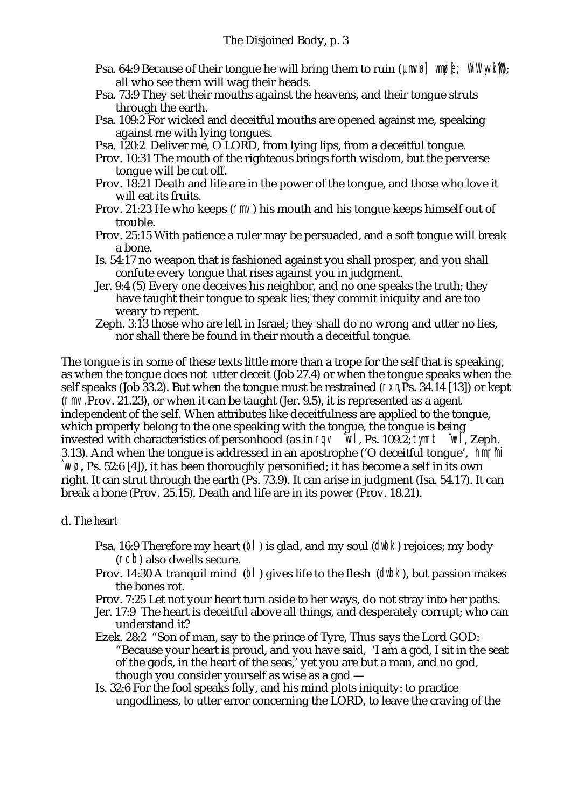- Psa. 64:9 Because of their tongue he will bring them to ruin ( $U/N$ ) which  $W/N$ all who see them will wag their heads.
- Psa. 73:9 They set their mouths against the heavens, and their tongue struts through the earth.
- Psa. 109:2 For wicked and deceitful mouths are opened against me, speaking against me with lying tongues.
- Psa. 120:2 Deliver me, O LORD, from lying lips, from a deceitful tongue.
- Prov. 10:31 The mouth of the righteous brings forth wisdom, but the perverse tongue will be cut off.
- Prov. 18:21 Death and life are in the power of the tongue, and those who love it will eat its fruits.
- Prov. 21:23 He who keeps ( $\Gamma$ m $\lor$ ) his mouth and his tongue keeps himself out of trouble.
- Prov. 25:15 With patience a ruler may be persuaded, and a soft tongue will break a bone.
- Is. 54:17 no weapon that is fashioned against you shall prosper, and you shall confute every tongue that rises against you in judgment.
- Jer. 9:4 (5) Every one deceives his neighbor, and no one speaks the truth; they have taught their tongue to speak lies; they commit iniquity and are too weary to repent.
- Zeph. 3:13 those who are left in Israel; they shall do no wrong and utter no lies, nor shall there be found in their mouth a deceitful tongue.

The tongue is in some of these texts little more than a trope for the self that is speaking, as when the tongue does not utter deceit (Job 27.4) or when the tongue speaks when the self speaks (Job 33.2). But when the tongue must be restrained ( $\Gamma \times \Gamma$ , Ps. 34.14 [13]) or kept (rmv, Prov. 21.23), or when it can be taught (Jer. 9.5), it is represented as a agent independent of the self. When attributes like deceitfulness are applied to the tongue, which properly belong to the one speaking with the tongue, the tongue is being invested with characteristics of personhood (as in  $\Gamma QV \cong Wl$ , Ps. 109.2; tymrt  $\Gamma Wl$ , Zeph. 3.13). And when the tongue is addressed in an apostrophe ('O deceitful tongue', hmm in  $\hat{w}$ , Ps. 52:6 [4]), it has been thoroughly personified; it has become a self in its own right. It can strut through the earth (Ps. 73.9). It can arise in judgment (Isa. 54.17). It can break a bone (Prov. 25.15). Death and life are in its power (Prov. 18.21).

### d. *The heart*

- **Psa. 16:9 Therefore my heart (b)) is glad, and my soul (dwb) rejoices; my body** (rcb) also dwells secure.
- Prov. 14:30 A tranquil mind (bl) gives life to the flesh (dwbk), but passion makes the bones rot.
- Prov. 7:25 Let not your heart turn aside to her ways, do not stray into her paths.
- Jer. 17:9 The heart is deceitful above all things, and desperately corrupt; who can understand it?
- Ezek. 28:2 "Son of man, say to the prince of Tyre, Thus says the Lord GOD: "Because your heart is proud, and you have said, 'I am a god, I sit in the seat of the gods, in the heart of the seas,' yet you are but a man, and no god, though you consider yourself as wise as a god —
- Is. 32:6 For the fool speaks folly, and his mind plots iniquity: to practice ungodliness, to utter error concerning the LORD, to leave the craving of the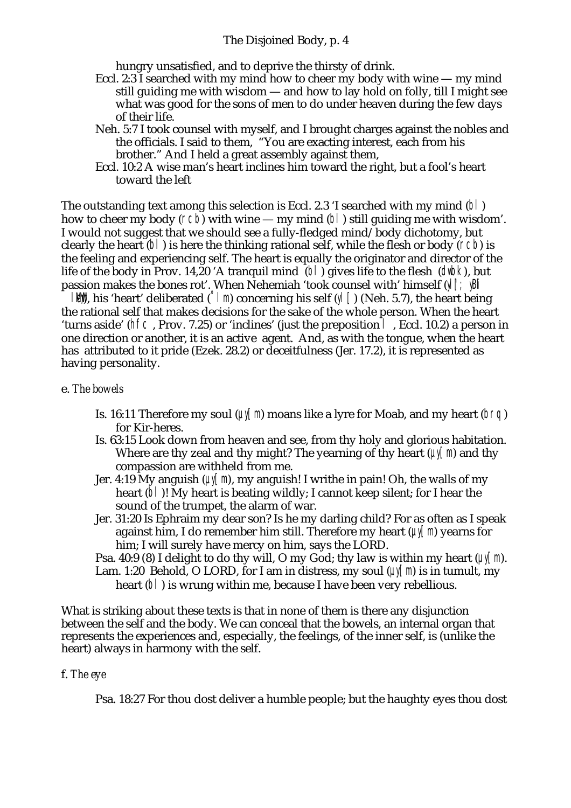### The Disjoined Body, p. 4

hungry unsatisfied, and to deprive the thirsty of drink.

- Eccl. 2:3 I searched with my mind how to cheer my body with wine my mind still guiding me with wisdom — and how to lay hold on folly, till I might see what was good for the sons of men to do under heaven during the few days of their life.
- Neh. 5:7 I took counsel with myself, and I brought charges against the nobles and the officials. I said to them, "You are exacting interest, each from his brother." And I held a great assembly against them,
- Eccl. 10:2 A wise man's heart inclines him toward the right, but a fool's heart toward the left

The outstanding text among this selection is Eccl. 2.3 'I searched with my mind (bl) how to cheer my body ( $rcb$ ) with wine — my mind ( $b$ ) still guiding me with wisdom'. I would not suggest that we should see a fully-fledged mind/body dichotomy, but clearly the heart  $(b)$  is here the thinking rational self, while the flesh or body ( $fcb$ ) is the feeling and experiencing self. The heart is equally the originator and director of the life of the body in Prov. 14,20 'A tranquil mind (b) gives life to the flesh (dwbk), but passion makes the bones rot'. When Nehemiah 'took counsel with' himself (y| [; yB|

 $\|\mathbf{W}\|$ , his 'heart' deliberated (°lm) concerning his self (yl  $\lceil$ ) (Neh. 5.7), the heart being the rational self that makes decisions for the sake of the whole person. When the heart 'turns aside' (hfc , Prov. 7.25) or 'inclines' (just the preposition l , Eccl. 10.2) a person in one direction or another, it is an active agent. And, as with the tongue, when the heart has attributed to it pride (Ezek. 28.2) or deceitfulness (Jer. 17.2), it is represented as having personality.

#### e. *The bowels*

- Is. 16:11 Therefore my soul  $(U|T| \cap \mathbb{R})$  moans like a lyre for Moab, and my heart (brq) for Kir-heres.
- Is. 63:15 Look down from heaven and see, from thy holy and glorious habitation. Where are thy zeal and thy might? The yearning of thy heart  $(\mu)(m)$  and thy compassion are withheld from me.
- Jer. 4:19 My anguish ( $\psi$ [m], my anguish! I writhe in pain! Oh, the walls of my heart (b) ! My heart is beating wildly; I cannot keep silent; for I hear the sound of the trumpet, the alarm of war.
- Jer. 31:20 Is Ephraim my dear son? Is he my darling child? For as often as I speak against him, I do remember him still. Therefore my heart  $(\psi(\lceil m)$  yearns for him; I will surely have mercy on him, says the LORD.
- Psa. 40:9 (8) I delight to do thy will, O my God; thy law is within my heart ( $\mu$  $\lceil m \rceil$ . Lam. 1:20 Behold, O LORD, for I am in distress, my soul  $(\mu \sqrt{m})$  is in tumult, my heart (b) is wrung within me, because I have been very rebellious.

What is striking about these texts is that in none of them is there any disjunction between the self and the body. We can conceal that the bowels, an internal organ that represents the experiences and, especially, the feelings, of the inner self, is (unlike the heart) always in harmony with the self.

### f. *The eye*

Psa. 18:27 For thou dost deliver a humble people; but the haughty eyes thou dost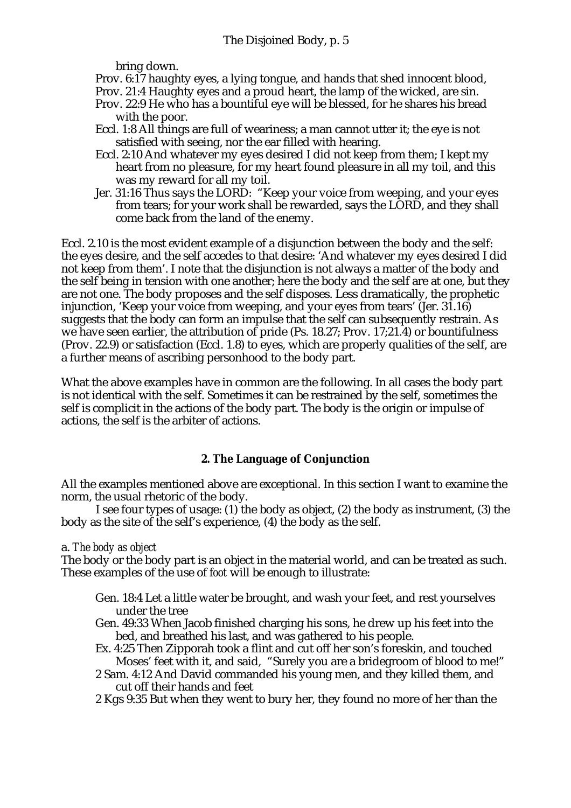bring down.

Prov. 6:17 haughty eyes, a lying tongue, and hands that shed innocent blood,

Prov. 21:4 Haughty eyes and a proud heart, the lamp of the wicked, are sin.

- Prov. 22:9 He who has a bountiful eye will be blessed, for he shares his bread with the poor.
- Eccl. 1:8 All things are full of weariness; a man cannot utter it; the eye is not satisfied with seeing, nor the ear filled with hearing.
- Eccl. 2:10 And whatever my eyes desired I did not keep from them; I kept my heart from no pleasure, for my heart found pleasure in all my toil, and this was my reward for all my toil.
- Jer. 31:16 Thus says the LORD: "Keep your voice from weeping, and your eyes from tears; for your work shall be rewarded, says the LORD, and they shall come back from the land of the enemy.

Eccl. 2.10 is the most evident example of a disjunction between the body and the self: the eyes desire, and the self accedes to that desire: 'And whatever my eyes desired I did not keep from them'. I note that the disjunction is not always a matter of the body and the self being in tension with one another; here the body and the self are at one, but they are not one. The body proposes and the self disposes. Less dramatically, the prophetic injunction, 'Keep your voice from weeping, and your eyes from tears' (Jer. 31.16) suggests that the body can form an impulse that the self can subsequently restrain. As we have seen earlier, the attribution of pride (Ps. 18.27; Prov. 17;21.4) or bountifulness (Prov. 22.9) or satisfaction (Eccl. 1.8) to eyes, which are properly qualities of the self, are a further means of ascribing personhood to the body part.

What the above examples have in common are the following. In all cases the body part is not identical with the self. Sometimes it can be restrained by the self, sometimes the self is complicit in the actions of the body part. The body is the origin or impulse of actions, the self is the arbiter of actions.

# **2. The Language of Conjunction**

All the examples mentioned above are exceptional. In this section I want to examine the norm, the usual rhetoric of the body.

I see four types of usage: (1) the body as object, (2) the body as instrument, (3) the body as the site of the self's experience, (4) the body as the self.

### a. *The body as object*

The body or the body part is an object in the material world, and can be treated as such. These examples of the use of *foot* will be enough to illustrate:

- Gen. 18:4 Let a little water be brought, and wash your feet, and rest yourselves under the tree
- Gen. 49:33 When Jacob finished charging his sons, he drew up his feet into the bed, and breathed his last, and was gathered to his people.
- Ex. 4:25 Then Zipporah took a flint and cut off her son's foreskin, and touched Moses' feet with it, and said, "Surely you are a bridegroom of blood to me!"
- 2 Sam. 4:12 And David commanded his young men, and they killed them, and cut off their hands and feet
- 2 Kgs 9:35 But when they went to bury her, they found no more of her than the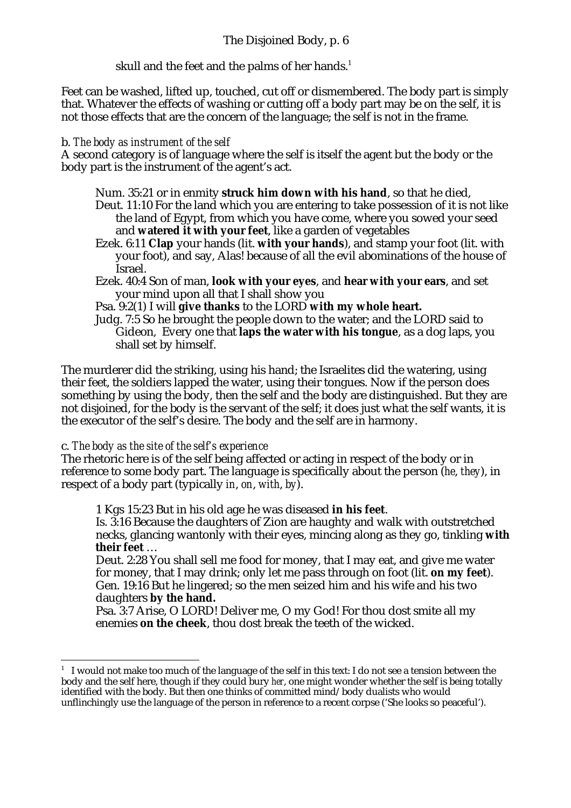skull and the feet and the palms of her hands.<sup>1</sup>

Feet can be washed, lifted up, touched, cut off or dismembered. The body part is simply that. Whatever the effects of washing or cutting off a body part may be on the self, it is not those effects that are the concern of the language; the self is not in the frame.

### b. *The body as instrument of the self*

A second category is of language where the self is itself the agent but the body or the body part is the instrument of the agent's act.

- Num. 35:21 or in enmity **struck him down with his hand**, so that he died, Deut. 11:10 For the land which you are entering to take possession of it is not like the land of Egypt, from which you have come, where you sowed your seed and **watered it with your feet**, like a garden of vegetables
- Ezek. 6:11 **Clap** your hands (lit. **with your hands**), and stamp your foot (lit. with your foot), and say, Alas! because of all the evil abominations of the house of Israel.
- Ezek. 40:4 Son of man, **look with your eyes**, and **hear with your ears**, and set your mind upon all that I shall show you
- Psa. 9:2(1) I will **give thanks** to the LORD **with my whole heart.**
- Judg. 7:5 So he brought the people down to the water; and the LORD said to Gideon, Every one that **laps the water with his tongue**, as a dog laps, you shall set by himself.

The murderer did the striking, using his hand; the Israelites did the watering, using their feet, the soldiers lapped the water, using their tongues. Now if the person does something by using the body, then the self and the body are distinguished. But they are not disjoined, for the body is the servant of the self; it does just what the self wants, it is the executor of the self's desire. The body and the self are in harmony.

# c. *The body as the site of the self's experience*

The rhetoric here is of the self being affected or acting in respect of the body or in reference to some body part. The language is specifically about the person (*he*, *they*), in respect of a body part (typically *in*, *on*, *with*, *by*).

1 Kgs 15:23 But in his old age he was diseased **in his feet**.

Is. 3:16 Because the daughters of Zion are haughty and walk with outstretched necks, glancing wantonly with their eyes, mincing along as they go, tinkling **with their feet** …

Deut. 2:28 You shall sell me food for money, that I may eat, and give me water for money, that I may drink; only let me pass through on foot (lit. **on my feet**). Gen. 19:16 But he lingered; so the men seized him and his wife and his two daughters **by the hand.**

Psa. 3:7 Arise, O LORD! Deliver me, O my God! For thou dost smite all my enemies **on the cheek**, thou dost break the teeth of the wicked.

j  $^{\rm 1}~$  I would not make too much of the language of the self in this text: I do not see a tension between the body and the self here, though if they could bury *her*, one might wonder whether the self is being totally identified with the body. But then one thinks of committed mind/body dualists who would unflinchingly use the language of the person in reference to a recent corpse ('She looks so peaceful').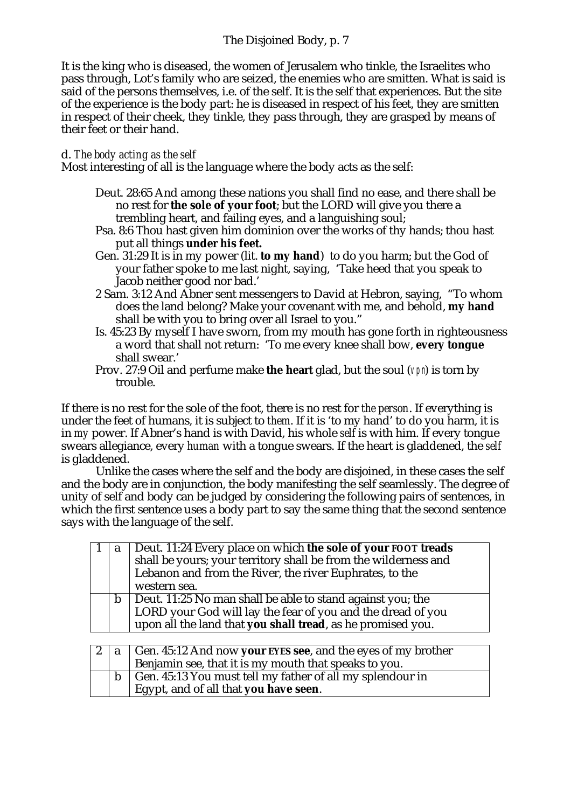# The Disjoined Body, p. 7

It is the king who is diseased, the women of Jerusalem who tinkle, the Israelites who pass through, Lot's family who are seized, the enemies who are smitten. What is said is said of the persons themselves, i.e. of the self. It is the self that experiences. But the site of the experience is the body part: he is diseased in respect of his feet, they are smitten in respect of their cheek, they tinkle, they pass through, they are grasped by means of their feet or their hand.

### d. *The body acting as the self*

Most interesting of all is the language where the body acts as the self:

- Deut. 28:65 And among these nations you shall find no ease, and there shall be no rest for **the sole of your foot**; but the LORD will give you there a trembling heart, and failing eyes, and a languishing soul;
- Psa. 8:6 Thou hast given him dominion over the works of thy hands; thou hast put all things **under his feet.**
- Gen. 31:29 It is in my power (lit. **to my hand**) to do you harm; but the God of your father spoke to me last night, saying, 'Take heed that you speak to Jacob neither good nor bad.'
- 2 Sam. 3:12 And Abner sent messengers to David at Hebron, saying, "To whom does the land belong? Make your covenant with me, and behold, **my hand** shall be with you to bring over all Israel to you."
- Is. 45:23 By myself I have sworn, from my mouth has gone forth in righteousness a word that shall not return: 'To me every knee shall bow, **every tongue** shall swear.'
- Prov. 27:9 Oil and perfume make the heart glad, but the soul ( $V$ pn) is torn by trouble.

If there is no rest for the sole of the foot, there is no rest for *the person*. If everything is under the feet of humans, it is subject to *them*. If it is 'to my hand' to do you harm, it is in *my* power. If Abner's hand is with David, his whole *self* is with him. If every tongue swears allegiance, every *human* with a tongue swears. If the heart is gladdened, the *self* is gladdened.

Unlike the cases where the self and the body are disjoined, in these cases the self and the body are in conjunction, the body manifesting the self seamlessly. The degree of unity of self and body can be judged by considering the following pairs of sentences, in which the first sentence uses a body part to say the same thing that the second sentence says with the language of the self.

| a | Deut. 11:24 Every place on which the sole of your FOOT treads<br>shall be yours; your territory shall be from the wilderness and<br>Lebanon and from the River, the river Euphrates, to the<br>western sea. |
|---|-------------------------------------------------------------------------------------------------------------------------------------------------------------------------------------------------------------|
| b | Deut. 11:25 No man shall be able to stand against you; the<br>LORD your God will lay the fear of you and the dread of you<br>upon all the land that you shall tread, as he promised you.                    |

|  | $\vert a \vert$ Gen. 45:12 And now your EYES see, and the eyes of my brother<br>Benjamin see, that it is my mouth that speaks to you. |  |  |  |
|--|---------------------------------------------------------------------------------------------------------------------------------------|--|--|--|
|  | Gen. 45:13 You must tell my father of all my splendour in<br>Egypt, and of all that you have seen.                                    |  |  |  |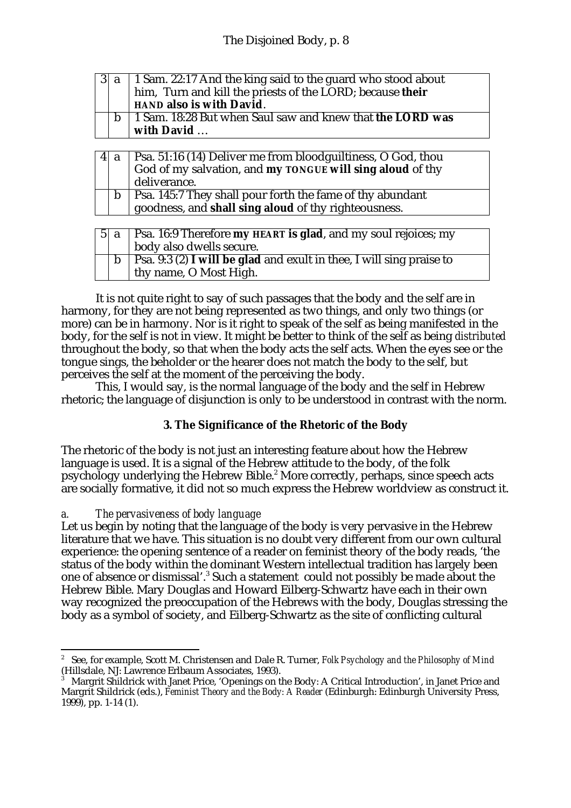|  | $ 3 a $ 1 Sam. 22:17 And the king said to the guard who stood about |  |  |  |  |  |
|--|---------------------------------------------------------------------|--|--|--|--|--|
|  | him, Turn and kill the priests of the LORD; because their           |  |  |  |  |  |
|  | HAND also is with David.                                            |  |  |  |  |  |
|  | 1 Sam. 18:28 But when Saul saw and knew that the LORD was           |  |  |  |  |  |
|  | with David                                                          |  |  |  |  |  |

|  | 4  a   Psa. 51:16 (14) Deliver me from bloodguiltiness, O God, thou<br>God of my salvation, and my TONGUE will sing aloud of thy<br>deliverance. |
|--|--------------------------------------------------------------------------------------------------------------------------------------------------|
|  | b   Psa. 145:7 They shall pour forth the fame of thy abundant<br>goodness, and shall sing aloud of thy righteousness.                            |

|  | $5 a $ Psa. 16:9 Therefore my HEART is glad, and my soul rejoices; my<br>body also dwells secure. |
|--|---------------------------------------------------------------------------------------------------|
|  | Psa. 9:3 (2) I will be glad and exult in thee, I will sing praise to<br>thy name, O Most High.    |

It is not quite right to say of such passages that the body and the self are in harmony, for they are not being represented as two things, and only two things (or more) can be in harmony. Nor is it right to speak of the self as being manifested in the body, for the self is not in view. It might be better to think of the self as being *distributed* throughout the body, so that when the body acts the self acts. When the eyes see or the tongue sings, the beholder or the hearer does not match the body to the self, but perceives the self at the moment of the perceiving the body.

This, I would say, is the normal language of the body and the self in Hebrew rhetoric; the language of disjunction is only to be understood in contrast with the norm.

# **3. The Significance of the Rhetoric of the Body**

The rhetoric of the body is not just an interesting feature about how the Hebrew language is used. It is a signal of the Hebrew attitude to the body, of the folk psychology underlying the Hebrew Bible.<sup>2</sup> More correctly, perhaps, since speech acts are socially formative, it did not so much express the Hebrew worldview as construct it.

# *a. The pervasiveness of body language*

Let us begin by noting that the language of the body is very pervasive in the Hebrew literature that we have. This situation is no doubt very different from our own cultural experience: the opening sentence of a reader on feminist theory of the body reads, 'the status of the body within the dominant Western intellectual tradition has largely been one of absence or dismissal'.<sup>3</sup> Such a statement could not possibly be made about the Hebrew Bible. Mary Douglas and Howard Eilberg-Schwartz have each in their own way recognized the preoccupation of the Hebrews with the body, Douglas stressing the body as a symbol of society, and Eilberg-Schwartz as the site of conflicting cultural

 $\overline{2}$  See, for example, Scott M. Christensen and Dale R. Turner, *Folk Psychology and the Philosophy of Mind* (Hillsdale, NJ: Lawrence Erlbaum Associates, 1993).

<sup>3</sup> Margrit Shildrick with Janet Price, 'Openings on the Body: A Critical Introduction', in Janet Price and Margrit Shildrick (eds.), *Feminist Theory and the Body: A Reader* (Edinburgh: Edinburgh University Press,  $1999$ , pp. 1-14 (1).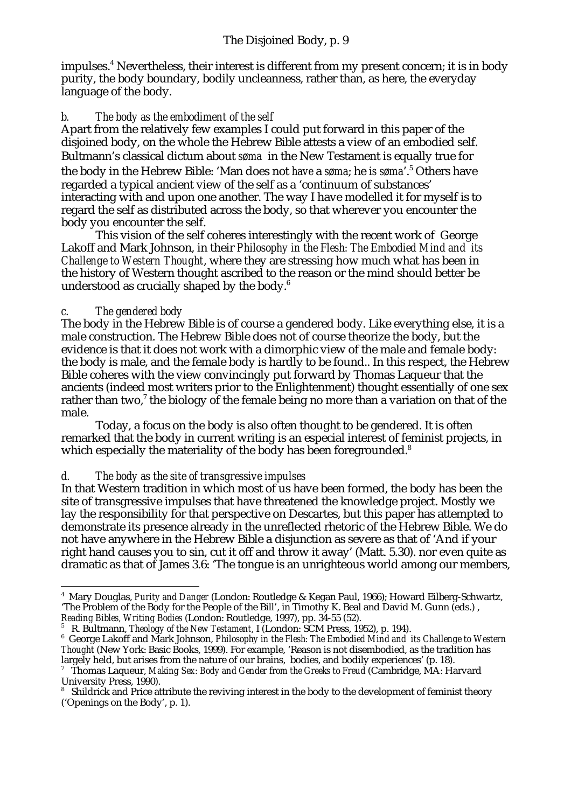impulses.<sup>4</sup> Nevertheless, their interest is different from my present concern; it is in body purity, the body boundary, bodily uncleanness, rather than, as here, the everyday language of the body.

# *b. The body as the embodiment of the self*

Apart from the relatively few examples I could put forward in this paper of the disjoined body, on the whole the Hebrew Bible attests a view of an embodied self. Bultmann's classical dictum about *søma* in the New Testament is equally true for the body in the Hebrew Bible: 'Man does not *have* a *søma*; he *is søma*'.<sup>5</sup> Others have regarded a typical ancient view of the self as a 'continuum of substances' interacting with and upon one another. The way I have modelled it for myself is to regard the self as distributed across the body, so that wherever you encounter the body you encounter the self.

This vision of the self coheres interestingly with the recent work of George Lakoff and Mark Johnson, in their *Philosophy in the Flesh: The Embodied Mind and its Challenge to Western Thought*, where they are stressing how much what has been in the history of Western thought ascribed to the reason or the mind should better be understood as crucially shaped by the body.<sup>6</sup>

# *c. The gendered body*

The body in the Hebrew Bible is of course a gendered body. Like everything else, it is a male construction. The Hebrew Bible does not of course theorize the body, but the evidence is that it does not work with a dimorphic view of the male and female body: the body is male, and the female body is hardly to be found.. In this respect, the Hebrew Bible coheres with the view convincingly put forward by Thomas Laqueur that the ancients (indeed most writers prior to the Enlightenment) thought essentially of one sex rather than two, $^7$  the biology of the female being no more than a variation on that of the male.

Today, a focus on the body is also often thought to be gendered. It is often remarked that the body in current writing is an especial interest of feminist projects, in which especially the materiality of the body has been foregrounded.<sup>8</sup>

### *d. The body as the site of transgressive impulses*

In that Western tradition in which most of us have been formed, the body has been the site of transgressive impulses that have threatened the knowledge project. Mostly we lay the responsibility for that perspective on Descartes, but this paper has attempted to demonstrate its presence already in the unreflected rhetoric of the Hebrew Bible. We do not have anywhere in the Hebrew Bible a disjunction as severe as that of 'And if your right hand causes you to sin, cut it off and throw it away' (Matt. 5.30). nor even quite as dramatic as that of James 3.6: 'The tongue is an unrighteous world among our members,

j 4 Mary Douglas, *Purity and Danger* (London: Routledge & Kegan Paul, 1966); Howard Eilberg-Schwartz, 'The Problem of the Body for the People of the Bill', in Timothy K. Beal and David M. Gunn (eds.) ,

*Reading Bibles, Writing Bodies* (London: Routledge, 1997), pp. 34-55 (52). 5 R. Bultmann, *Theology of the New Testament*, I (London: SCM Press, 1952), p. 194).

<sup>6</sup> George Lakoff and Mark Johnson, *Philosophy in the Flesh: The Embodied Mind and its Challenge to Western Thought* (New York: Basic Books, 1999). For example, 'Reason is not disembodied, as the tradition has largely held, but arises from the nature of our brains, bodies, and bodily experiences' (p. 18).

<sup>7</sup> Thomas Laqueur, *Making Sex: Body and Gender from the Greeks to Freud* (Cambridge, MA: Harvard University Press, 1990).

<sup>8</sup> Shildrick and Price attribute the reviving interest in the body to the development of feminist theory ('Openings on the Body', p. 1).